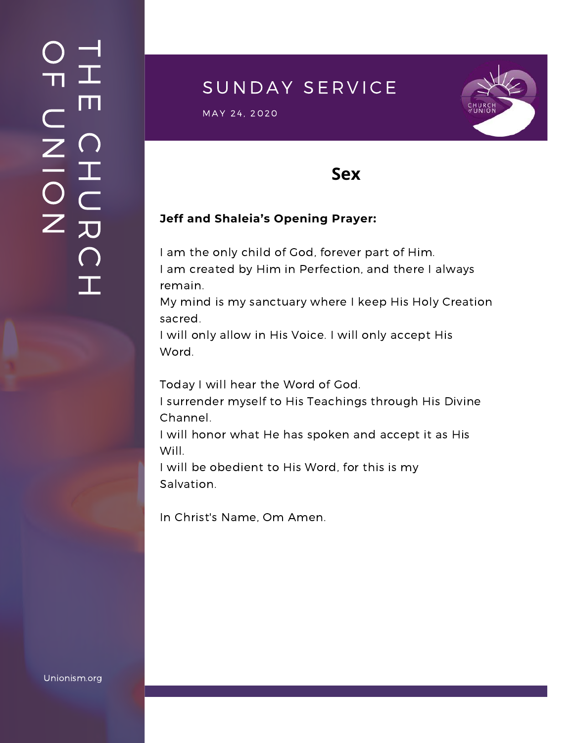### $\overline{\phantom{a}}$ H m.  $\bigcap$ H  $\subset$ 刀  $\bigcap$  $\mathbf{I}$  .  $\bigcirc$  $\blacksquare$  $\subset$  $\mathsf{Z}^+$ <u>In the Second Contract of the Second Contract of the International Second Contract of the International Second Contract of the International Second Contract of the International Second Contract of the International Second</u>  $\bigcirc$  $\mathsf{Z}^+$

# SUNDAY SERVICE

 $\textsf{MAX} \; \; 24, \; 2020$  in the set of the set of the set of the set of the set of the set of the set of the set of the set of the set of the set of the set of the set of the set of the set of the set of the set of the set



### **Sex**

#### **Jeff and Shaleia's Opening Prayer:**

I am the only child of God, forever part of Him. I am created by Him in Perfection, and there I always remain.

My mind is my sanctuary where I keep His Holy Creation sacred.

I will only allow in His Voice. I will only accept His Word.

Today I will hear the Word of God.

I surrender myself to His Teachings through His Divine Channel.

I will honor what He has spoken and accept it as His Will.

I will be obedient to His Word, for this is my Salvation.

In Christ's Name, Om Amen.